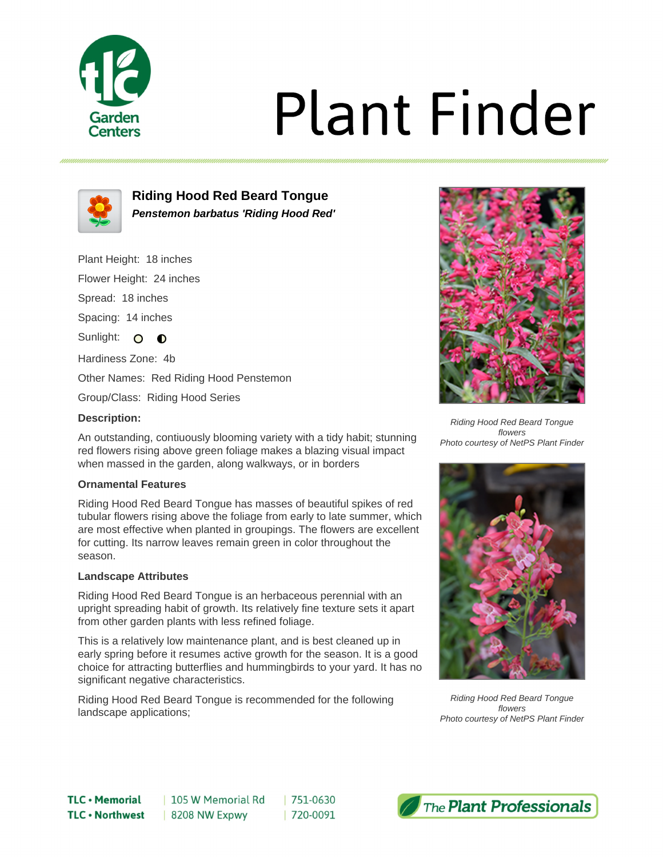

# **Plant Finder**



**Riding Hood Red Beard Tongue Penstemon barbatus 'Riding Hood Red'**

Plant Height: 18 inches

Flower Height: 24 inches

Spread: 18 inches

Spacing: 14 inches

Sunlight: O **O** 

Hardiness Zone: 4b

Other Names: Red Riding Hood Penstemon

Group/Class: Riding Hood Series

## **Description:**

An outstanding, contiuously blooming variety with a tidy habit; stunning red flowers rising above green foliage makes a blazing visual impact when massed in the garden, along walkways, or in borders

### **Ornamental Features**

Riding Hood Red Beard Tongue has masses of beautiful spikes of red tubular flowers rising above the foliage from early to late summer, which are most effective when planted in groupings. The flowers are excellent for cutting. Its narrow leaves remain green in color throughout the season.

### **Landscape Attributes**

Riding Hood Red Beard Tongue is an herbaceous perennial with an upright spreading habit of growth. Its relatively fine texture sets it apart from other garden plants with less refined foliage.

This is a relatively low maintenance plant, and is best cleaned up in early spring before it resumes active growth for the season. It is a good choice for attracting butterflies and hummingbirds to your yard. It has no significant negative characteristics.

 $|751-0630$ 

| 720-0091

Riding Hood Red Beard Tongue is recommended for the following landscape applications;



Riding Hood Red Beard Tongue flowers Photo courtesy of NetPS Plant Finder



Riding Hood Red Beard Tongue flowers Photo courtesy of NetPS Plant Finder